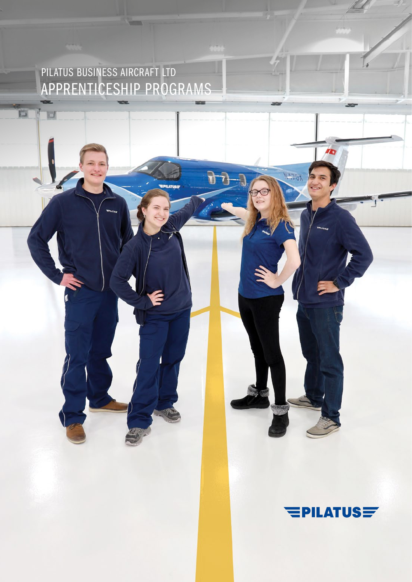PILATUS BUSINESS AIRCRAFT LTD APPRENTICESHIP PROGRAMS

 $\overline{\mathbb{Z}}$ 

 $\Box$ 



**II** 

**NATGA**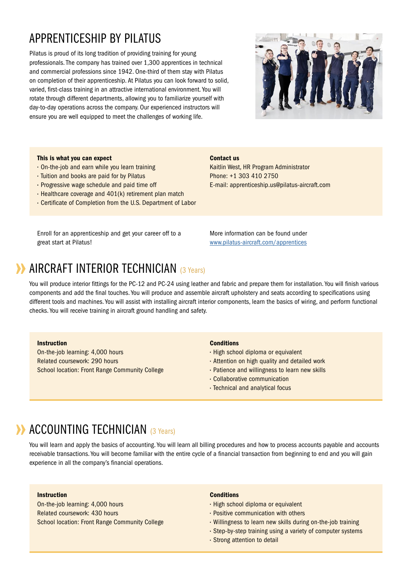# APPRENTICESHIP BY PILATUS

Pilatus is proud of its long tradition of providing training for young professionals. The company has trained over 1,300 apprentices in technical and commercial professions since 1942. One-third of them stay with Pilatus on completion of their apprenticeship. At Pilatus you can look forward to solid, varied, first-class training in an attractive international environment. You will rotate through different departments, allowing you to familiarize yourself with day-to-day operations across the company. Our experienced instructors will ensure you are well equipped to meet the challenges of working life.



### This is what you can expect

- On-the-job and earn while you learn training
- Tuition and books are paid for by Pilatus
- Progressive wage schedule and paid time off
- Healthcare coverage and 401(k) retirement plan match
- Certificate of Completion from the U.S. Department of Labor

Enroll for an apprenticeship and get your career off to a great start at Pilatus!

E-mail: apprenticeship.us@pilatus-aircraft.com

Kaitlin West, HR Program Administrator

Phone: +1 303 410 2750

More information can be found under [www.pilatus-aircraft.com/apprentice](https://www.pilatus-aircraft.com/en/career/apprentices)s

# **AIRCRAFT INTERIOR TECHNICIAN** (3 Years)

You will produce interior fittings for the PC-12 and PC-24 using leather and fabric and prepare them for installation. You will finish various components and add the final touches. You will produce and assemble aircraft upholstery and seats according to specifications using different tools and machines. You will assist with installing aircraft interior components, learn the basics of wiring, and perform functional checks. You will receive training in aircraft ground handling and safety.

## Instruction

On-the-job learning: 4,000 hours Related coursework: 290 hours School location: Front Range Community College

#### **Conditions**

Contact us

- High school diploma or equivalent
- Attention on high quality and detailed work
- Patience and willingness to learn new skills
- Collaborative communication
- Technical and analytical focus

# **ACCOUNTING TECHNICIAN (3 Years)**

You will learn and apply the basics of accounting. You will learn all billing procedures and how to process accounts payable and accounts receivable transactions. You will become familiar with the entire cycle of a financial transaction from beginning to end and you will gain experience in all the company's financial operations.

## Instruction

On-the-job learning: 4,000 hours Related coursework: 430 hours School location: Front Range Community College

#### **Conditions**

- High school diploma or equivalent
- $\cdot$  Positive communication with others
- Willingness to learn new skills during on-the-job training
- Step-by-step training using a variety of computer systems
- Strong attention to detail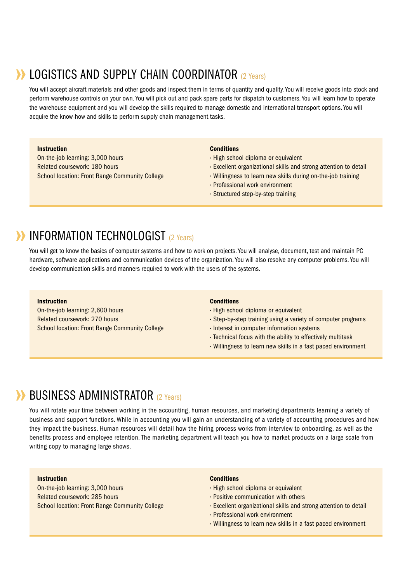# **DECISTICS AND SUPPLY CHAIN COORDINATOR (2 Years)**

You will accept aircraft materials and other goods and inspect them in terms of quantity and quality. You will receive goods into stock and perform warehouse controls on your own. You will pick out and pack spare parts for dispatch to customers. You will learn how to operate the warehouse equipment and you will develop the skills required to manage domestic and international transport options. You will acquire the know-how and skills to perform supply chain management tasks.

## Instruction

On-the-job learning: 3,000 hours Related coursework: 180 hours School location: Front Range Community College

### **Conditions**

- · High school diploma or equivalent
- Excellent organizational skills and strong attention to detail
- Willingness to learn new skills during on-the-job training
- Professional work environment
- Structured step-by-step training

# **INFORMATION TECHNOLOGIST** (2 Years)

You will get to know the basics of computer systems and how to work on projects. You will analyse, document, test and maintain PC hardware, software applications and communication devices of the organization. You will also resolve any computer problems. You will develop communication skills and manners required to work with the users of the systems.

#### Instruction

On-the-job learning: 2,600 hours Related coursework: 270 hours School location: Front Range Community College

#### **Conditions**

- High school diploma or equivalent
- Step-by-step training using a variety of computer programs
- $\cdot$  Interest in computer information systems
- Technical focus with the ability to effectively multitask
- Willingness to learn new skills in a fast paced environment

# **BUSINESS ADMINISTRATOR** (2 Years)

You will rotate your time between working in the accounting, human resources, and marketing departments learning a variety of business and support functions. While in accounting you will gain an understanding of a variety of accounting procedures and how they impact the business. Human resources will detail how the hiring process works from interview to onboarding, as well as the benefits process and employee retention. The marketing department will teach you how to market products on a large scale from writing copy to managing large shows.

## **Instruction**

On-the-job learning: 3,000 hours Related coursework: 285 hours School location: Front Range Community College

#### **Conditions**

- · High school diploma or equivalent
- $\cdot$  Positive communication with others
- Excellent organizational skills and strong attention to detail
- Professional work environment
- Willingness to learn new skills in a fast paced environment